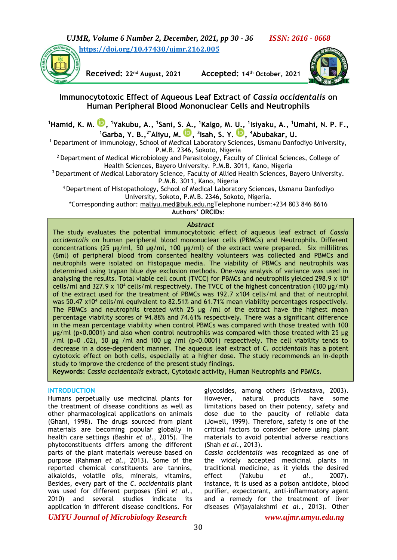

**Received: 22nd August, 2021 Accepted: 14th October, 2021**



# **Immunocytotoxic Effect of Aqueous Leaf Extract of** *Cassia occidentalis* **on Human Peripheral Blood Mononuclear Cells and Neutrophils**

**<sup>1</sup>Hamid, K. M. [,](https://orcid.org/0000-0002-4318-2583) <sup>1</sup>Yakubu, A., <sup>1</sup> Sani, S. A., <sup>1</sup>Kalgo, M. U., <sup>1</sup> Isiyaku, A., <sup>1</sup>Umahi, N. P. F., <sup>1</sup>Garba, Y. B.,2\*Aliyu, M. [,](https://orcid.org/0000-0002-4223-2788) 3 Isah, S. Y. [,](https://orcid.org/0000-0003-2313-6915) <sup>4</sup>Abubakar, U.**

<sup>1</sup> Department of Immunology, School of Medical Laboratory Sciences, Usmanu Danfodiyo University, P.M.B. 2346, Sokoto, Nigeria

 $2$  Department of Medical Microbiology and Parasitology, Faculty of Clinical Sciences, College of Health Sciences, Bayero University. P.M.B. 3011, Kano, Nigeria

<sup>3</sup> Department of Medical Laboratory Science, Faculty of Allied Health Sciences, Bayero University. P.M.B. 3011, Kano, Nigeria

<sup>4</sup>Department of Histopathology, School of Medical Laboratory Sciences, Usmanu Danfodiyo University, Sokoto, P.M.B. 2346, Sokoto, Nigeria.

\*Corresponding author: [maliyu.med@buk.edu.ngT](mailto:maliyu.med@buk.edu.ng)elephone number:+234 803 846 8616 **Authors' ORCIDs**:

# *Abstract*

The study evaluates the potential immunocytotoxic effect of aqueous leaf extract of *Cassia occidentalis* on human peripheral blood mononuclear cells (PBMCs) and Neutrophils. Different concentrations (25 µg/ml, 50 µg/ml, 100 µg/ml) of the extract were prepared. Six millilitres (6ml) of peripheral blood from consented healthy volunteers was collected and PBMCs and neutrophils were isolated on Histopaque media. The viability of PBMCs and neutrophils was determined using trypan blue dye exclusion methods. One-way analysis of variance was used in analysing the results. Total viable cell count (TVCC) for PBMCs and neutrophils yielded 298.9 x 10<sup>4</sup> cells/ml and 327.9 x 10<sup>4</sup> cells/ml respectively. The TVCC of the highest concentration (100  $\mu$ g/ml) of the extract used for the treatment of PBMCs was 192.7 x104 cells/ml and that of neutrophil was 50.47 x10<sup>4</sup> cells/ml equivalent to 82.51% and 61.71% mean viability percentages respectively. The PBMCs and neutrophils treated with 25 µg /ml of the extract have the highest mean percentage viability scores of 94.88% and 74.61% respectively. There was a significant difference in the mean percentage viability when control PBMCs was compared with those treated with 100 µg/ml (p<0.0001) and also when control neutrophils was compared with those treated with 25 µg /ml (p=0.02), 50 µg /ml and 100 µg /ml (p<0.0001) respectively. The cell viability tends to decrease in a dose-dependent manner. The aqueous leaf extract of *C. occidentalis* has a potent cytotoxic effect on both cells, especially at a higher dose. The study recommends an in-depth study to improve the credence of the present study findings.

**Keywords**: *Cassia occidentalis* extract*,* Cytotoxic activity, Human Neutrophils and PBMCs.

#### **INTRODUCTION**

Humans perpetually use medicinal plants for the treatment of disease conditions as well as other pharmacological applications on animals (Ghani, 1998). The drugs sourced from plant materials are becoming popular globally in health care settings (Bashir *et al.*, 2015). The phytoconstituents differs among the different parts of the plant materials wereuse based on purpose (Rahman *et al.*, 2013). Some of the reported chemical constituents are tannins, alkaloids, volatile oils, minerals, vitamins, Besides, every part of the *C*. *occidentalis* plant was used for different purposes (Sini *et al.*, 2010) and several studies indicate its application in different disease conditions. For

glycosides, among others (Srivastava, 2003). However, natural products have some limitations based on their potency, safety and dose due to the paucity of reliable data (Jowell, 1999). Therefore, safety is one of the critical factors to consider before using plant materials to avoid potential adverse reactions (Shah *et al.*, 2013). *Cassia occidentalis* was recognized as one of the widely accepted medicinal plants in

traditional medicine, as it yields the desired effect (Yakubu *et al.*, 2007). instance, it is used as a poison antidote, blood purifier, expectorant, anti-inflammatory agent and a remedy for the treatment of liver diseases (Vijayalakshmi *et al.*, 2013). Other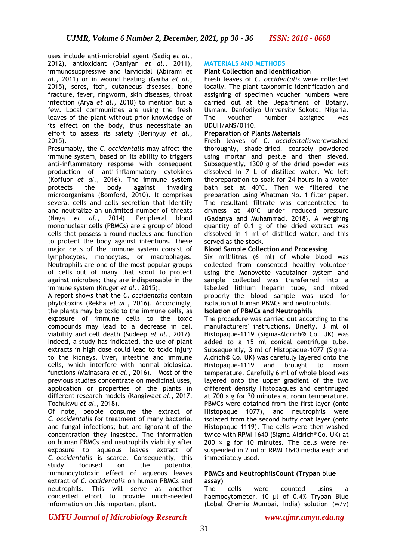uses include anti-microbial agent (Sadiq *et al.*, 2012), antioxidant (Daniyan *et al.*, 2011), immunosuppressive and larvicidal (Abirami *et al.*, 2011) or in wound healing (Garba *et al.*, 2015), sores, itch, cutaneous diseases, bone fracture, fever, ringworm, skin diseases, throat infection (Arya *et al.*, 2010) to mention but a few. Local communities are using the fresh leaves of the plant without prior knowledge of its effect on the body, thus necessitate an effort to assess its safety (Berinyuy *et al.*, 2015).

Presumably, the *C*. *occidentalis* may affect the immune system, based on its ability to triggers anti-inflammatory response with consequent production of anti-inflammatory cytokines (Koffuor *et al.*, 2016). The immune system protects the body against invading microorganisms (Bomford, 2010). It comprises several cells and cells secretion that identify and neutralize an unlimited number of threats (Naga *et al.*, 2014). Peripheral blood mononuclear cells (PBMCs) are a group of blood cells that possess a round nucleus and function to protect the body against infections. These major cells of the immune system consist of lymphocytes, monocytes, or macrophages. Neutrophils are one of the most popular groups of cells out of many that scout to protect against microbes; they are indispensable in the immune system (Kruger *et al.*, 2015).

A report shows that the *C*. *occidentalis* contain phytotoxins (Rekha *et al.*, 2016). Accordingly, the plants may be toxic to the immune cells, as exposure of immune cells to the toxic compounds may lead to a decrease in cell viability and cell death (Sudeep *et al.*, 2017). Indeed, a study has indicated, the use of plant extracts in high dose could lead to toxic injury to the kidneys, liver, intestine and immune cells, which interfere with normal biological functions (Mainasara *et al.*, 2016). Most of the previous studies concentrate on medicinal uses, application or properties of the plants in different research models (Kangiwa*et al.,* 2017; Tochukwu *et al.*, 2018).

Of note, people consume the extract of *C. occidentalis* for treatment of many bacterial and fungal infections; but are ignorant of the concentration they ingested. The information on human PBMCs and neutrophils viability after exposure to aqueous leaves extract of *C. occidentalis* is scarce. Consequently, this study focused on the potential immunocytotoxic effect of aqueous leaves extract of *C. occidentalis* on human PBMCs and neutrophils. This will serve as another concerted effort to provide much-needed information on this important plant.

## **MATERIALS AND METHODS**

## **Plant Collection and Identification**

Fresh leaves of *C. occidentalis* were collected locally. The plant taxonomic identification and assigning of specimen voucher numbers were carried out at the Department of Botany, Usmanu Danfodiyo University Sokoto, Nigeria. The voucher number assigned was UDUH/ANS/0110.

#### **Preparation of Plants Materials**

Fresh leaves of *C. occidentalis*werewashed thoroughly, shade-dried, coarsely powdered using mortar and pestle and then sieved. Subsequently, 1300 g of the dried powder was dissolved in 7 L of distilled water. We left thepreparation to soak for 24 hours in a water bath set at 40℃. Then we filtered the preparation using Whatman No. 1 filter paper. The resultant filtrate was concentrated to dryness at 40℃ under reduced pressure (Gadanya and Muhammad, 2018). A weighing quantity of 0.1 g of the dried extract was dissolved in 1 ml of distilled water, and this served as the stock.

#### **Blood Sample Collection and Processing**

Six millilitres (6 ml) of whole blood was collected from consented healthy volunteer using the Monovette vacutainer system and sample collected was transferred into a labelled lithium heparin tube, and mixed properly—the blood sample was used for isolation of human PBMCs and neutrophils.

## **Isolation of PBMCs and Neutrophils**

The procedure was carried out according to the manufacturers' instructions. Briefly, 3 ml of Histopaque-1119 (Sigma-Aldrich® Co. UK) was added to a 15 ml conical centrifuge tube. Subsequently, 3 ml of Histopaque-1077 (Sigma-Aldrich® Co. UK) was carefully layered onto the Histopaque-1119 and brought to room temperature. Carefully 6 ml of whole blood was layered onto the upper gradient of the two different density Histopaques and centrifuged at 700 × g for 30 minutes at room temperature. PBMCs were obtained from the first layer (onto Histopaque 1077), and neutrophils were isolated from the second buffy coat layer (onto Histopaque 1119). The cells were then washed twice with RPMI 1640 (Sigma-Aldrich® Co. UK) at  $200 \times g$  for 10 minutes. The cells were resuspended in 2 ml of RPMI 1640 media each and immediately used.

#### **PBMCs and NeutrophilsCount (Trypan blue assay)**

The cells were counted using a haemocytometer, 10 μl of 0.4% Trypan Blue (Lobal Chemie Mumbai, India) solution (w/v)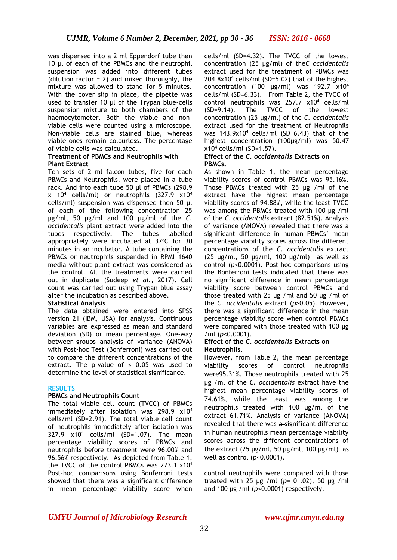was dispensed into a 2 ml Eppendorf tube then 10 μl of each of the PBMCs and the neutrophil suspension was added into different tubes (dilution factor = 2) and mixed thoroughly, the mixture was allowed to stand for 5 minutes. With the cover slip in place, the pipette was used to transfer 10 μl of the Trypan blue-cells suspension mixture to both chambers of the haemocytometer. Both the viable and nonviable cells were counted using a microscope. Non-viable cells are stained blue, whereas viable ones remain colourless. The percentage of viable cells was calculated.

#### **Treatment of PBMCs and Neutrophils with Plant Extract**

Ten sets of 2 ml falcon tubes, five for each PBMCs and Neutrophils, were placed in a tube rack. And into each tube 50 µl of PBMCs (298.9  $x$  10<sup>4</sup> cells/ml) or neutrophils (327.9  $x10^4$ cells/ml) suspension was dispensed then 50 µl of each of the following concentration 25 µg/ml, 50 µg/ml and 100 µg/ml of the *C. occidentalis* plant extract were added into the tubes respectively. The tubes labelled appropriately were incubated at  $37^{\circ}$ C for  $30$ minutes in an incubator. A tube containing the PBMCs or neutrophils suspended in RPMI 1640 media without plant extract was considered as the control. All the treatments were carried out in duplicate (Sudeep *et al.*, 2017). Cell count was carried out using Trypan blue assay after the incubation as described above.

## **Statistical Analysis**

The data obtained were entered into SPSS version 21 (IBM, USA) for analysis. Continuous variables are expressed as mean and standard deviation (SD) or mean percentage. One-way between-groups analysis of variance (ANOVA) with Post-hoc Test (Bonferroni) was carried out to compare the different concentrations of the extract. The p-value of  $\leq$  0.05 was used to determine the level of statistical significance.

## **RESULTS**

## **PBMCs and Neutrophils Count**

The total viable cell count (TVCC) of PBMCs immediately after isolation was 298.9 x10<sup>4</sup> cells/ml (SD=2.91). The total viable cell count of neutrophils immediately after isolation was 327.9  $x10^4$  cells/ml (SD=1.07). The mean percentage viability scores of PBMCs and neutrophils before treatment were 96.00% and 96.56% respectively. As depicted from Table 1, the TVCC of the control PBMCs was 273.1 x10<sup>4</sup> Post-hoc comparisons using Bonferroni tests showed that there was a-significant difference in mean percentage viability score when

cells/ml (SD=4.32). The TVCC of the lowest concentration (25 µg/ml) of the*C occidentalis* extract used for the treatment of PBMCs was  $204.8x10<sup>4</sup>$  cells/ml (SD=5.02) that of the highest concentration (100  $\mu$ g/ml) was 192.7 x10<sup>4</sup> cells/ml (SD=6.33). From Table 2, the TVCC of control neutrophils was 257.7 x10<sup>4</sup> cells/ml (SD=9.14). The TVCC of the lowest concentration (25 µg/ml) of the *C. occidentalis* extract used for the treatment of Neutrophils was  $143.9x10^4$  cells/ml (SD=6.43) that of the highest concentration (100µg/ml) was 50.47  $x10<sup>4</sup>$  cells/ml (SD=1.57).

#### **Effect of the** *C. occidentalis* **Extracts on PBMCs.**

As shown in Table 1, the mean percentage viability scores of control PBMCs was 95.16%. Those PBMCs treated with 25 µg /ml of the extract have the highest mean percentage viability scores of 94.88%, while the least TVCC was among the PBMCs treated with 100 µg /ml of the *C. occidentalis* extract (82.51%). Analysis of variance (ANOVA) revealed that there was a significant difference in human PBMCs' mean percentage viability scores across the different concentrations of the *C. occidentalis* extract (25  $\mu$ g/ml, 50  $\mu$ g/ml, 100  $\mu$ g/ml) as well as control (*p*<0.0001). Post-hoc comparisons using the Bonferroni tests indicated that there was no significant difference in mean percentage viability score between control PBMCs and those treated with 25 µg /ml and 50 µg /ml of the *C. occidentalis* extract (*p*>0.05). However, there was a significant difference in the mean percentage viability score when control PBMCs were compared with those treated with 100 µg /ml (*p*<0.0001).

#### **Effect of the** *C. occidentalis* **Extracts on Neutrophils.**

However, from Table 2, the mean percentage viability scores of control neutrophils were95.31%. Those neutrophils treated with 25 µg /ml of the *C. occidentalis* extract have the highest mean percentage viability scores of 74.61%, while the least was among the neutrophils treated with 100 µg/ml of the extract 61.71%. Analysis of variance (ANOVA) revealed that there was a significant difference in human neutrophils mean percentage viability scores across the different concentrations of the extract  $(25 \text{ µg/ml}, 50 \text{ µg/ml}, 100 \text{ µg/ml})$  as well as control (*p*<0.0001).

control neutrophils were compared with those treated with 25 µg /ml (*p*= 0 .02), 50 µg /ml and 100 µg /ml (*p*<0.0001) respectively.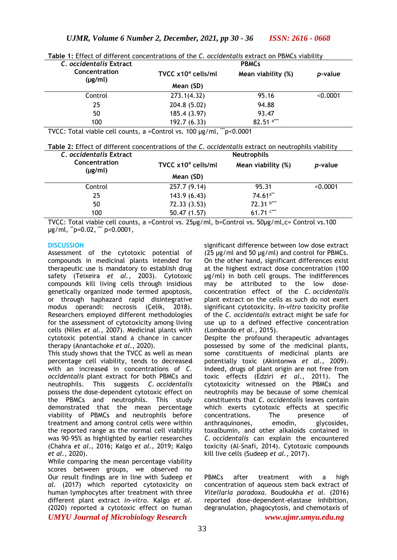| C. occidentalis Extract       | <b>Table 1.</b> LITECT OF QIFICIENT CONCENTRATIONS OF THE C. <i>OCCIDENTIQUS EX</i> TRACT ON PDMCS VIADITITY<br><b>PBMCs</b> |                    |                 |
|-------------------------------|------------------------------------------------------------------------------------------------------------------------------|--------------------|-----------------|
| Concentration<br>$(\mu g/ml)$ | TVCC $x104$ cells/ml                                                                                                         | Mean viability (%) | <i>p</i> -value |
|                               | Mean (SD)                                                                                                                    |                    |                 |
| Control                       | 273.1(4.32)                                                                                                                  | 95.16              | < 0.0001        |
| 25                            | 204.8 (5.02)                                                                                                                 | 94.88              |                 |
| 50                            | 185.4 (3.97)                                                                                                                 | 93.47              |                 |
| 100                           | 192.7 (6.33)                                                                                                                 | $82.51$ a***       |                 |

**Table 1:** Effect of different concentrations of the *C. occidentalis* extract on PBMCs viability

TVCC: Total viable cell counts, a =Control vs. 100 µg/ml, \*\*\*p<0.0001

**Table 2:** Effect of different concentrations of the *C. occidentalis* extract on neutrophils viability

| C. occidentalis Extract       | <b>Neutrophils</b>   |                        |                 |
|-------------------------------|----------------------|------------------------|-----------------|
| Concentration<br>$(\mu g/ml)$ | TVCC $x104$ cells/ml | Mean viability (%)     | <i>p</i> -value |
|                               | Mean (SD)            |                        |                 |
| Control                       | 257.7 (9.14)         | 95.31                  | < 0.0001        |
| 25                            | 143.9(6.43)          | $74.61$ <sup>a**</sup> |                 |
| 50                            | 72.33 (3.53)         | 72.31 b***             |                 |
| 100                           | 50.47 (1.57)         | 61.71 $\text{C}^{***}$ |                 |

TVCC: Total viable cell counts, a =Control vs. 25µg/ml, b=Control vs. 50µg/ml,c= Control vs.100  $\mu$ g/ml,  $\mu$ <sup>-</sup>p=0.02,  $\mu$ <sup>- $\mu$ </sup> p<0.0001,

#### **DISCUSSION**

Assessment of the cytotoxic potential of compounds in medicinal plants intended for therapeutic use is mandatory to establish drug safety (Teixeira *et al.*, 2003). Cytotoxic compounds kill living cells through insidious genetically organized mode termed apoptosis, or through haphazard rapid disintegrative modus operandi: necrosis (Çelik, 2018). Researchers employed different methodologies for the assessment of cytotoxicity among living cells (Niles *et al.*, 2007). Medicinal plants with cytotoxic potential stand a chance in cancer therapy (Anantachoke *et al.*, 2020).

This study shows that the TVCC as well as mean percentage cell viability, tends to decreased with an increased in concentrations of *C. occidentalis* plant extract for both PBMCs and neutrophils. This suggests *C. occidentalis* possess the dose-dependent cytotoxic effect on the PBMCs and neutrophils. This study demonstrated that the mean percentage viability of PBMCs and neutrophils before treatment and among control cells were within the reported range as the normal cell viability was 90–95% as highlighted by earlier researches (Chahra *et al.,* 2016; Kalgo *et al.,* 2019*;* Kalgo *et al.,* 2020).

*UMYU Journal of Microbiology Research www.ujmr.umyu.edu.ng* While comparing the mean percentage viability scores between groups, we observed no Our result findings are in line with Sudeep *et al.* (2017) which reported cytotoxicity on human lymphocytes after treatment with three different plant extract *in-vitro*. Kalgo *et al.* (2020) reported a cytotoxic effect on human

significant difference between low dose extract (25 µg/ml and 50 µg/ml) and control for PBMCs. On the other hand, significant differences exist at the highest extract dose concentration (100 µg/ml) in both cell groups. The indifferences may be attributed to the low doseconcentration effect of the *C. occidentalis*  plant extract on the cells as such do not exert significant cytotoxicity. *In-vitro* toxicity profile of the *C. occidentalis* extract might be safe for use up to a defined effective concentration (Lombardo *et al.*, 2015).

Despite the profound therapeutic advantages possessed by some of the medicinal plants, some constituents of medicinal plants are potentially toxic (Akintonwa *et al.*, 2009). Indeed, drugs of plant origin are not free from toxic effects (Edziri *et al.*, 2011). The cytotoxicity witnessed on the PBMCs and neutrophils may be because of some chemical constituents that *C. occidentalis* leaves contain which exerts cytotoxic effects at specific<br>concentrations. The presence of concentrations. The presence of anthraquinones, emodin, glycosides, toxalbumin, and other alkaloids contained in *C. occidentalis* can explain the encountered toxicity (Al-Snafi, 2014). Cytotoxic compounds kill live cells (Sudeep *et al.*, 2017).

PBMCs after treatment with a high concentration of aqueous stem back extract of *Vitellaria paradoxa*. Boudoukha *et al.* (2016) reported dose-dependent-elastase inhibition, degranulation, phagocytosis, and chemotaxis of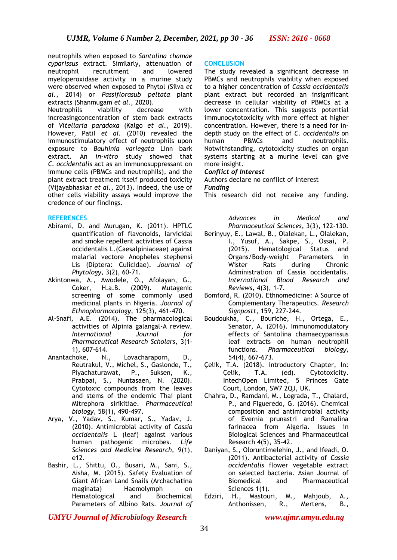neutrophils when exposed to *Santolina chamae cyparissus* extract. Similarly, attenuation of neutrophil recruitment and lowered myeloperoxidase activity in a murine study were observed when exposed to Phytol (Silva *et al.*, 2014) or *Passiflorasub peltata* plant extracts (Shanmugam *et al.*, 2020).

Neutrophils viability decrease with increasingconcentration of stem back extracts of *Vitellaria paradoxa* (Kalgo *et al.*, 2019). However, Patil *et al.* (2010) revealed the immunostimulatory effect of neutrophils upon exposure to *Bauhinia variegata* Linn bark extract. An *in-vitro* study showed that *C. occidentalis* act as an immunosuppressant on immune cells (PBMCs and neutrophils), and the plant extract treatment itself produced toxicity (Vijayabhaskar *et al.*, 2013). Indeed, the use of other cells viability assays would improve the credence of our findings.

## **REFERENCES**

- Abirami, D. and Murugan, K. (2011). HPTLC quantification of flavonoids, larvicidal and smoke repellent activities of Cassia occidentalis L.(Caesalpiniaceae) against malarial vectore Anopheles stephensi Lis (Diptera: Culicidae). *Journal of Phytology,* 3(2), 60-71.
- Akintonwa, A., Awodele, O., Afolayan, G., Coker, H.a.B. (2009). Mutagenic screening of some commonly used medicinal plants in Nigeria. *Journal of Ethnopharmacology,* 125(3), 461-470.
- Al-Snafi, A.E. (2014). The pharmacological activities of Alpinia galangal-A review. *International Journal for Pharmaceutical Research Scholars,* 3(1- 1), 607-614.<br>Anantachoke, N.
- N., Lovacharaporn, D., Reutrakul, V., Michel, S., Gaslonde, T., Piyachaturawat, P., Suksen, K., Prabpai, S., Nuntasaen, N. (2020). Cytotoxic compounds from the leaves and stems of the endemic Thai plant Mitrephora sirikitiae. *Pharmaceutical biology,* 58(1), 490-497.
- Arya, V., Yadav, S., Kumar, S., Yadav, J. (2010). Antimicrobial activity of *Cassia occidentalis* L (leaf) against various human pathogenic microbes. *Life Sciences and Medicine Research,* 9(1), e12.
- Bashir, L., Shittu, O., Busari, M., Sani, S., Aisha, M. (2015). Safety Evaluation of Giant African Land Snails (Archachatina maginata) Haemolymph on Hematological and Biochemical Parameters of Albino Rats. *Journal of*

## **CONCLUSION**

The study revealed a significant decrease in PBMCs and neutrophils viability when exposed to a higher concentration of *Cassia occidentalis*  plant extract but recorded an insignificant decrease in cellular viability of PBMCs at a lower concentration. This suggests potential immunocytotoxicity with more effect at higher concentration. However, there is a need for indepth study on the effect of *C. occidentalis* on human PBMCs and neutrophils. Notwithstanding, cytotoxicity studies on organ systems starting at a murine level can give more insight.

#### *Conflict of Interest*

Authors declare no conflict of interest

*Funding*

This research did not receive any funding.

*Advances in Medical and Pharmaceutical Sciences,* 3(3), 122-130.

- Berinyuy, E., Lawal, B., Olalekan, L., Olalekan, I., Yusuf, A., Sakpe, S., Ossai, P. (2015). Hematological Status and Organs/Body-weight Parameters in Wister Rats during Chronic Administration of Cassia occidentalis. *International Blood Research and Reviews,* 4(3), 1-7.
- Bomford, R. (2010). Ethnomedicine: A Source of Complementary Therapeutics. *Research Signpostt,* 159, 227-244.
- Boudoukha, C., Bouriche, H., Ortega, E., Senator, A. (2016). Immunomodulatory effects of Santolina chamaecyparissus leaf extracts on human neutrophil functions. *Pharmaceutical biology,* 54(4), 667-673.
- Çelik, T.A. (2018). Introductory Chapter, In: Çelik, T.A. (ed). Cytotoxicity. IntechOpen Limited, 5 Princes Gate Court, London, SW7 2QJ, UK.
- Chahra, D., Ramdani, M., Lograda, T., Chalard, P., and Figueredo, G. (2016). Chemical composition and antimicrobial activity of Evernia prunastri and Ramalina farinacea from Algeria. Issues in Biological Sciences and Pharmaceutical Research 4(5), 35-42.
- Daniyan, S., Oloruntimelehin, J., and Ifeadi, O. (2011). Antibacterial activity of *Cassia occidentalis* flower vegetable extract on selected bacteria. Asian Journal of Biomedical and Pharmaceutical Sciences 1(1).
- Edziri, H., Mastouri, M., Mahjoub, A., Anthonissen, R., Mertens, B.,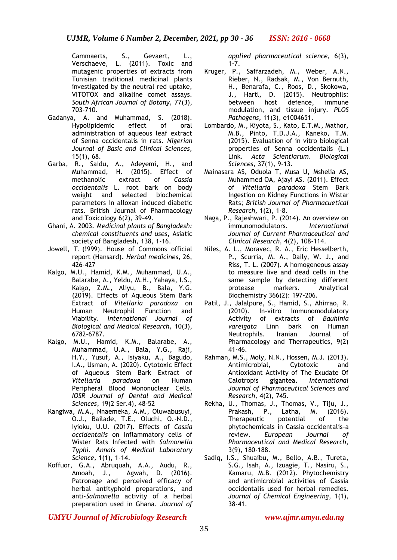Cammaerts, S., Gevaert, L., Verschaeve, L. (2011). Toxic and mutagenic properties of extracts from Tunisian traditional medicinal plants investigated by the neutral red uptake, VITOTOX and alkaline comet assays. *South African Journal of Botany,* 77(3), 703-710.

- Gadanya, A. and Muhammad, S. (2018). Hypolipidemic effect of oral administration of aqueous leaf extract of Senna occidentalis in rats. *Nigerian Journal of Basic and Clinical Sciences,* 15(1), 68.
- Garba, R., Saidu, A., Adeyemi, H., and Muhammad, H. (2015). Effect of methanolic extract of *Cassia occidentalis* L. root bark on body weight and selected biochemical parameters in alloxan induced diabetic rats. British Journal of Pharmacology and Toxicology 6(2), 39-49.
- Ghani, A. 2003. *Medicinal plants of Bangladesh: chemical constituents and uses*, Asiatic society of Bangladesh, 138, 1-16.
- Jowell, T. (!999). House of Commons official report (Hansard). *Herbal medicines*, 26, 426-427
- Kalgo, M.U., Hamid, K.M., Muhammad, U.A., Balarabe, A., Yeldu, M.H., Yahaya, I.S., Kalgo, Z.M., Aliyu, B., Bala, Y.G. (2019). Effects of Aqueous Stem Bark Extract of *Vitellaria paradoxa* on Human Neutrophil Function and Viability. *International Journal of Biological and Medical Research,* 10(3), 6782-6787.
- Kalgo, M.U., Hamid, K.M., Balarabe, A., Muhammad, U.A., Bala, Y.G., Raji, H.Y., Yusuf, A., Isiyaku, A., Bagudo, I.A., Usman, A. (2020). Cytotoxic Effect of Aqueous Stem Bark Extract of *Vitellaria paradoxa* on Human Peripheral Blood Mononuclear Cells. *IOSR Journal of Dental and Medical Sciences*, 19(2 Ser.4), 48-52
- Kangiwa, M.A., Nnaemeka, A.M., Oluwabusuyi, O.J., Bailade, T.E., Oluchi, O.-N.D., Iyioku, U.U. (2017). Effects of *Cassia occidentalis* on Inflammatory cells of Wister Rats Infected with *Salmonella Typhi*. *Annals of Medical Laboratory Science,* 1(1), 1-14.
- Koffuor, G.A., Abruquah, A.A., Audu, R., Amoah, J., Agwah, D. (2016). Patronage and perceived efficacy of herbal antityphoid preparations, and anti-*Salmonella* activity of a herbal preparation used in Ghana. *Journal of*

*applied pharmaceutical science,* 6(3),  $1 - 7$ .

- Kruger, P., Saffarzadeh, M., Weber, A.N., Rieber, N., Radsak, M., Von Bernuth, H., Benarafa, C., Roos, D., Skokowa, J., Hartl, D. (2015). Neutrophils: between host defence, immune modulation, and tissue injury. *PLOS Pathogens,* 11(3), e1004651.
- Lombardo, M., Kiyota, S., Kato, E.T.M., Mathor, M.B., Pinto, T.D.J.A., Kaneko, T.M. (2015). Evaluation of in vitro biological properties of Senna occidentalis (L.) Link. *Acta Scientiarum. Biological Sciences,* 37(1), 9-13.
- Mainasara AS, Oduola T, Musa U, Mshelia AS, Muhammed OA, Ajayi AS. (2011). Effect of *Vitellaria paradoxa* Stem Bark Ingestion on Kidney Functions in Wistar Rats; *British Journal of Pharmacuetical Research,* 1(2), 1-8.
- Naga, P., Rajeshwari, P. (2014). An overview on immunomodulators. *International Journal of Current Pharmaceutical and Clinical Research,* 4(2), 108-114.
- Niles, A. L., Moravec, R. A., Eric Hesselberth, P., Scurria, M. A., Daily, W. J., and Riss, T. L. (2007). A homogeneous assay to measure live and dead cells in the same sample by detecting different protease markers. Analytical Biochemistry 366(2): 197-206.
- Patil, J., Jalalpure, S., Hamid, S., Ahirrao, R. (2010). In-vitro Immunomodulatory Activity of extracts of *Bauhinia vareigata* Linn bark on Human Neutrophils. Iranian Journal of Pharmacology and Therrapeutics, 9(2) 41-46.
- Rahman, M.S., Moly, N.N., Hossen, M.J. (2013). Antimicrobial, Cytotoxic and Antioxidant Activity of The Exudate Of Calotropis gigantea. *International Journal of Pharmaceutical Sciences and Research,* 4(2), 745.
- Rekha, U., Thomas, J., Thomas, V., Tiju, J., Prakash, P., Latha, M. (2016). Therapeutic potential of the phytochemicals in Cassia occidentalis-a review. *European Journal of Pharmaceutical and Medical Research,* 3(9), 180-188.
- Sadiq, I.S., Shuaibu, M., Bello, A.B., Tureta, S.G., Isah, A., Izuagie, T., Nasiru, S., Kamaru, M.B. (2012). Phytochemistry and antimicrobial activities of Cassia occidentalis used for herbal remedies. *Journal of Chemical Engineering,* 1(1), 38-41.